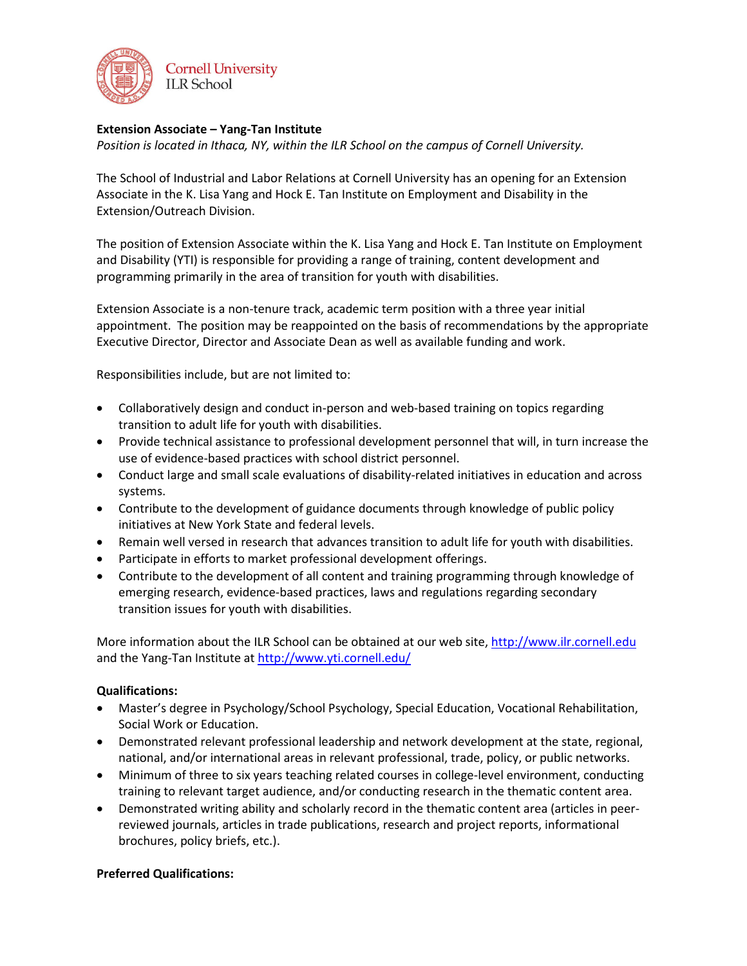

## **Extension Associate – Yang-Tan Institute**

*Position is located in Ithaca, NY, within the ILR School on the campus of Cornell University.*

The School of Industrial and Labor Relations at Cornell University has an opening for an Extension Associate in the K. Lisa Yang and Hock E. Tan Institute on Employment and Disability in the Extension/Outreach Division.

The position of Extension Associate within the K. Lisa Yang and Hock E. Tan Institute on Employment and Disability (YTI) is responsible for providing a range of training, content development and programming primarily in the area of transition for youth with disabilities.

Extension Associate is a non-tenure track, academic term position with a three year initial appointment. The position may be reappointed on the basis of recommendations by the appropriate Executive Director, Director and Associate Dean as well as available funding and work.

Responsibilities include, but are not limited to:

- Collaboratively design and conduct in-person and web-based training on topics regarding transition to adult life for youth with disabilities.
- Provide technical assistance to professional development personnel that will, in turn increase the use of evidence-based practices with school district personnel.
- Conduct large and small scale evaluations of disability-related initiatives in education and across systems.
- Contribute to the development of guidance documents through knowledge of public policy initiatives at New York State and federal levels.
- Remain well versed in research that advances transition to adult life for youth with disabilities.
- Participate in efforts to market professional development offerings.
- Contribute to the development of all content and training programming through knowledge of emerging research, evidence-based practices, laws and regulations regarding secondary transition issues for youth with disabilities.

More information about the ILR School can be obtained at our web site[, http://www.ilr.cornell.edu](http://www.ilr.cornell.edu/) and the Yang-Tan Institute at<http://www.yti.cornell.edu/>

## **Qualifications:**

- Master's degree in Psychology/School Psychology, Special Education, Vocational Rehabilitation, Social Work or Education.
- Demonstrated relevant professional leadership and network development at the state, regional, national, and/or international areas in relevant professional, trade, policy, or public networks.
- Minimum of three to six years teaching related courses in college-level environment, conducting training to relevant target audience, and/or conducting research in the thematic content area.
- Demonstrated writing ability and scholarly record in the thematic content area (articles in peerreviewed journals, articles in trade publications, research and project reports, informational brochures, policy briefs, etc.).

## **Preferred Qualifications:**